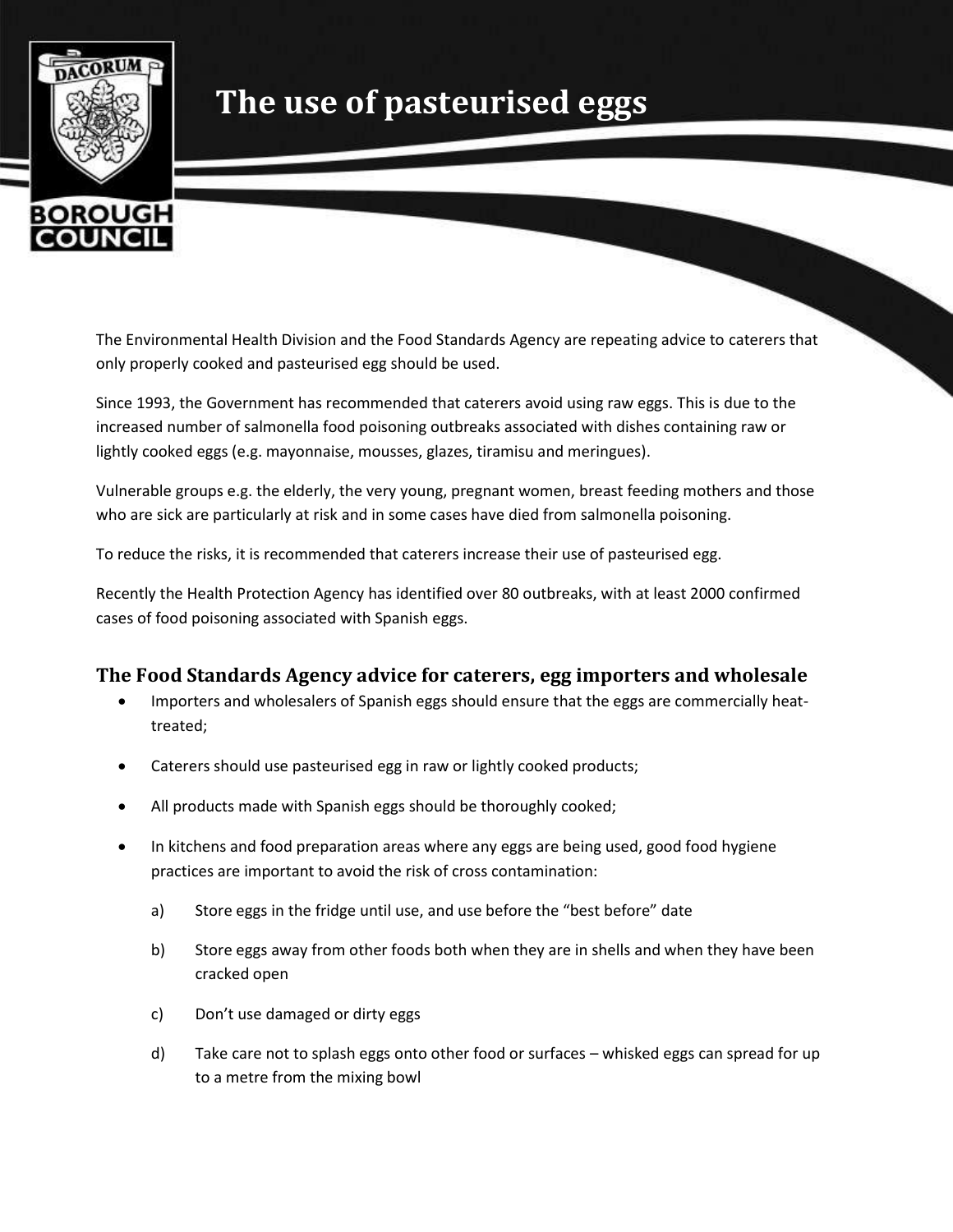

## **The use of pasteurised eggs**

The Environmental Health Division and the Food Standards Agency are repeating advice to caterers that only properly cooked and pasteurised egg should be used.

Since 1993, the Government has recommended that caterers avoid using raw eggs. This is due to the increased number of salmonella food poisoning outbreaks associated with dishes containing raw or lightly cooked eggs (e.g. mayonnaise, mousses, glazes, tiramisu and meringues).

Vulnerable groups e.g. the elderly, the very young, pregnant women, breast feeding mothers and those who are sick are particularly at risk and in some cases have died from salmonella poisoning.

To reduce the risks, it is recommended that caterers increase their use of pasteurised egg.

Recently the Health Protection Agency has identified over 80 outbreaks, with at least 2000 confirmed cases of food poisoning associated with Spanish eggs.

## **The Food Standards Agency advice for caterers, egg importers and wholesale**

- Importers and wholesalers of Spanish eggs should ensure that the eggs are commercially heattreated;
- Caterers should use pasteurised egg in raw or lightly cooked products;
- All products made with Spanish eggs should be thoroughly cooked;
- In kitchens and food preparation areas where any eggs are being used, good food hygiene practices are important to avoid the risk of cross contamination:
	- a) Store eggs in the fridge until use, and use before the "best before" date
	- b) Store eggs away from other foods both when they are in shells and when they have been cracked open
	- c) Don't use damaged or dirty eggs
	- d) Take care not to splash eggs onto other food or surfaces whisked eggs can spread for up to a metre from the mixing bowl